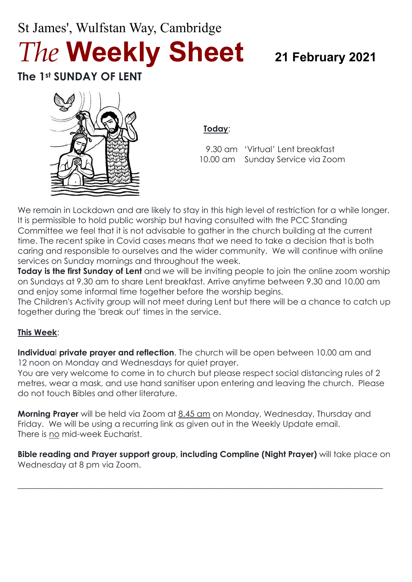# St James', Wulfstan Way, Cambridge *The* **Weekly Sheet <sup>21</sup> February <sup>2021</sup>**

**The 1st SUNDAY OF LENT**



#### **Today**:

 9.30 am 'Virtual' Lent breakfast 10.00 am Sunday Service via Zoom

We remain in Lockdown and are likely to stay in this high level of restriction for a while longer. It is permissible to hold public worship but having consulted with the PCC Standing Committee we feel that it is not advisable to gather in the church building at the current time. The recent spike in Covid cases means that we need to take a decision that is both caring and responsible to ourselves and the wider community. We will continue with online services on Sunday mornings and throughout the week.

**Today is the first Sunday of Lent** and *we* will be inviting people to join the online zoom worship on Sundays at 9.30 am to share Lent breakfast. Arrive anytime between 9.30 and 10.00 am and enjoy some informal time together before the worship begins.

The Children's Activity group will not meet during Lent but there will be a chance to catch up together during the 'break out' times in the service.

#### **This Week**:

**Individua**l **private prayer and reflection**. The church will be open between 10.00 am and 12 noon on Monday and Wednesdays for quiet prayer.

You are very welcome to come in to church but please respect social distancing rules of 2 metres, wear a mask, and use hand sanitiser upon entering and leaving the church. Please do not touch Bibles and other literature.

**Morning Prayer** will be held via Zoom at 8.45 am on Monday, Wednesday, Thursday and Friday. We will be using a recurring link as given out in the Weekly Update email. There is no mid-week Eucharist.

**Bible reading and Prayer support group, including Compline (Night Prayer)** will take place on Wednesday at 8 pm via Zoom.

 $\_$  , and the set of the set of the set of the set of the set of the set of the set of the set of the set of the set of the set of the set of the set of the set of the set of the set of the set of the set of the set of th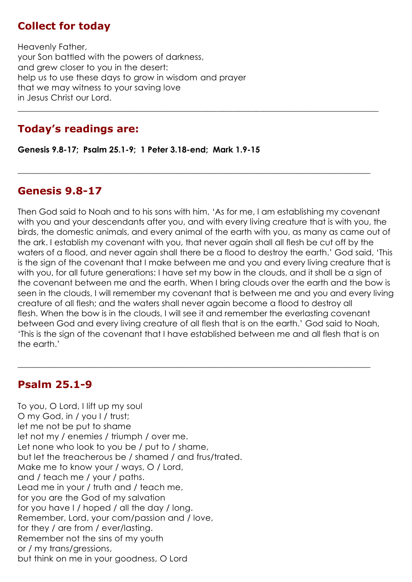# **Collect for today**

Heavenly Father, your Son battled with the powers of darkness, and grew closer to you in the desert: help us to use these days to grow in wisdom and prayer that we may witness to your saving love in Jesus Christ our Lord.

# **Today's readings are:**

**Genesis 9.8-17; Psalm 25.1-9; 1 Peter 3.18-end; Mark 1.9-15**

# **Genesis 9.8-17**

Then God said to Noah and to his sons with him, 'As for me, I am establishing my covenant with you and your descendants after you, and with every living creature that is with you, the birds, the domestic animals, and every animal of the earth with you, as many as came out of the ark. I establish my covenant with you, that never again shall all flesh be cut off by the waters of a flood, and never again shall there be a flood to destroy the earth.' God said, 'This is the sign of the covenant that I make between me and you and every living creature that is with you, for all future generations: I have set my bow in the clouds, and it shall be a sign of the covenant between me and the earth. When I bring clouds over the earth and the bow is seen in the clouds, I will remember my covenant that is between me and you and every living creature of all flesh; and the waters shall never again become a flood to destroy all flesh. When the bow is in the clouds, I will see it and remember the everlasting covenant between God and every living creature of all flesh that is on the earth.' God said to Noah, 'This is the sign of the covenant that I have established between me and all flesh that is on the earth.'

 $\_$  , and the set of the set of the set of the set of the set of the set of the set of the set of the set of the set of the set of the set of the set of the set of the set of the set of the set of the set of the set of th

\_\_\_\_\_\_\_\_\_\_\_\_\_\_\_\_\_\_\_\_\_\_\_\_\_\_\_\_\_\_\_\_\_\_\_\_\_\_\_\_\_\_\_\_\_\_\_\_\_\_\_\_\_\_\_\_\_\_\_\_\_\_\_\_\_\_\_\_\_\_\_\_\_\_\_\_\_\_\_\_\_\_\_\_\_

 $\_$  , and the set of the set of the set of the set of the set of the set of the set of the set of the set of the set of the set of the set of the set of the set of the set of the set of the set of the set of the set of th

# **Psalm 25.1-9**

To you, O Lord, I lift up my soul O my God, in / you I / trust; let me not be put to shame let not my / enemies / triumph / over me. Let none who look to you be / put to / shame, but let the treacherous be / shamed / and frus/trated. Make me to know your / ways, O / Lord, and / teach me / your / paths. Lead me in your / truth and / teach me, for you are the God of my salvation for you have I / hoped / all the day / long. Remember, Lord, your com/passion and / love, for they / are from / ever/lasting. Remember not the sins of my youth or / my trans/gressions, but think on me in your goodness, O Lord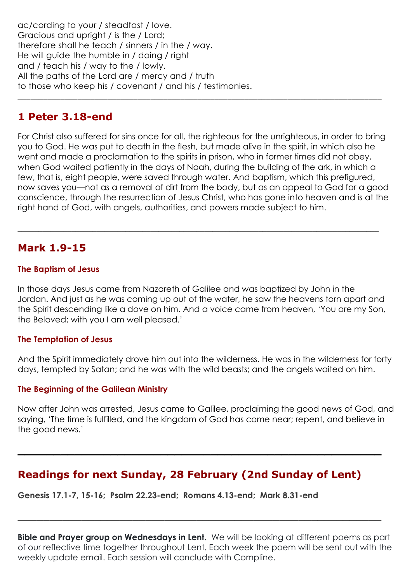ac/cording to your / steadfast / love. Gracious and upright / is the / Lord; therefore shall he teach / sinners / in the / way. He will guide the humble in / doing / right and / teach his / way to the / lowly. All the paths of the Lord are / mercy and / truth to those who keep his / covenant / and his / testimonies.

#### **1 Peter 3.18-end**

For Christ also suffered for sins once for all, the righteous for the unrighteous, in order to bring you to God. He was put to death in the flesh, but made alive in the spirit, in which also he went and made a proclamation to the spirits in prison, who in former times did not obey, when God waited patiently in the days of Noah, during the building of the ark, in which a few, that is, eight people, were saved through water. And baptism, which this prefigured, now saves you—not as a removal of dirt from the body, but as an appeal to God for a good conscience, through the resurrection of Jesus Christ, who has gone into heaven and is at the right hand of God, with angels, authorities, and powers made subject to him.

 $\_$  , and the set of the set of the set of the set of the set of the set of the set of the set of the set of the set of the set of the set of the set of the set of the set of the set of the set of the set of the set of th

\_\_\_\_\_\_\_\_\_\_\_\_\_\_\_\_\_\_\_\_\_\_\_\_\_\_\_\_\_\_\_\_\_\_\_\_\_\_\_\_\_\_\_\_\_\_\_\_\_\_\_\_\_\_\_\_\_\_\_\_\_\_\_\_\_\_\_\_\_\_\_\_\_\_\_\_\_\_\_\_\_\_\_\_\_

## **Mark 1.9-15**

#### **The Baptism of Jesus**

In those days Jesus came from Nazareth of Galilee and was baptized by John in the Jordan. And just as he was coming up out of the water, he saw the heavens torn apart and the Spirit descending like a dove on him. And a voice came from heaven, 'You are my Son, the Beloved; with you I am well pleased.'

#### **The Temptation of Jesus**

And the Spirit immediately drove him out into the wilderness. He was in the wilderness for forty days, tempted by Satan; and he was with the wild beasts; and the angels waited on him.

#### **The Beginning of the Galilean Ministry**

Now after John was arrested, Jesus came to Galilee, proclaiming the good news of God, and saying, 'The time is fulfilled, and the kingdom of God has come near; repent, and believe in the good news.'

**\_\_\_\_\_\_\_\_\_\_\_\_\_\_\_\_\_\_\_\_\_\_\_\_\_\_\_\_\_\_\_\_\_\_\_\_\_\_\_\_\_\_\_\_\_\_\_\_\_\_\_**

## **Readings for next Sunday, 28 February (2nd Sunday of Lent)**

**Genesis 17.1-7, 15-16; Psalm 22.23-end; Romans 4.13-end; Mark 8.31-end**

**Bible and Prayer group on Wednesdays in Lent.** We will be looking at different poems as part of our reflective time together throughout Lent. Each week the poem will be sent out with the weekly update email. Each session will conclude with Compline.

\_\_\_\_\_\_\_\_\_\_\_\_\_\_\_\_\_\_\_\_\_\_\_\_\_\_\_\_\_\_\_\_\_\_\_\_\_\_\_\_\_\_\_\_\_\_\_\_\_\_\_\_\_\_\_\_\_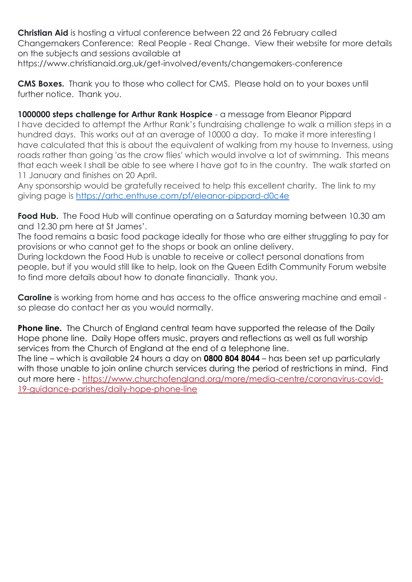**Christian Aid** is hosting a virtual conference between 22 and 26 February called Changemakers Conference: Real People - Real Change. View their website for more details on the subjects and sessions available at

https://www.christianaid.org.uk/get-involved/events/changemakers-conference

**CMS Boxes.** Thank you to those who collect for CMS. Please hold on to your boxes until further notice. Thank you.

#### **1000000 steps challenge for Arthur Rank Hospice** - a message from Eleanor Pippard

I have decided to attempt the Arthur Rank's fundraising challenge to walk a million steps in a hundred days. This works out at an average of 10000 a day. To make it more interesting I have calculated that this is about the equivalent of walking from my house to Inverness, using roads rather than going 'as the crow flies' which would involve a lot of swimming. This means that each week I shall be able to see where I have got to in the country. The walk started on 11 January and finishes on 20 April.

Any sponsorship would be gratefully received to help this excellent charity. The link to my giving page is <https://arhc.enthuse.com/pf/eleanor-pippard-d0c4e>

**Food Hub.** The Food Hub will continue operating on a Saturday morning between 10.30 am and 12.30 pm here at St James'.

The food remains a basic food package ideally for those who are either struggling to pay for provisions or who cannot get to the shops or book an online delivery.

During lockdown the Food Hub is unable to receive or collect personal donations from people, but if you would still like to help, look on the Queen Edith Community Forum website to find more details about how to donate financially. Thank you.

**Caroline** is working from home and has access to the office answering machine and email so please do contact her as you would normally.

**Phone line.** The Church of England central team have supported the release of the Daily Hope phone line. Daily Hope offers music, prayers and reflections as well as full worship services from the Church of England at the end of a telephone line.

The line – which is available 24 hours a day on **0800 804 8044** – has been set up particularly with those unable to join online church services during the period of restrictions in mind. Find out more here - [https://www.churchofengland.org/more/media-centre/coronavirus-covid-](https://www.churchofengland.org/more/media-centre/coronavirus-covid-19-guidance-parishes/daily-hope-phone-line)[19-guidance-parishes/daily-hope-phone-line](https://www.churchofengland.org/more/media-centre/coronavirus-covid-19-guidance-parishes/daily-hope-phone-line)